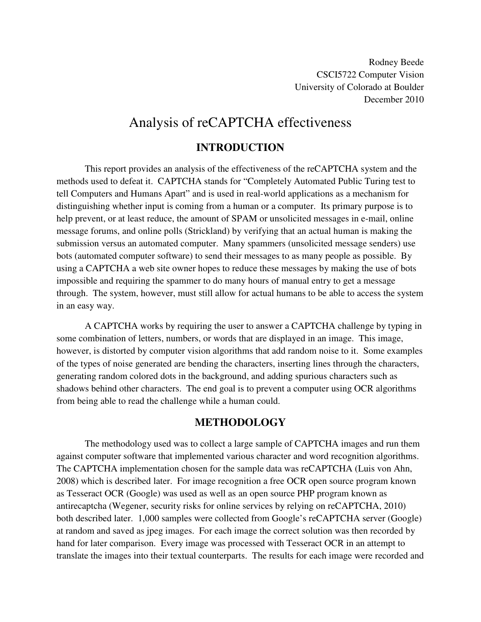Rodney Beede CSCI5722 Computer Vision University of Colorado at Boulder December 2010

# Analysis of reCAPTCHA effectiveness

## **INTRODUCTION**

This report provides an analysis of the effectiveness of the reCAPTCHA system and the methods used to defeat it. CAPTCHA stands for "Completely Automated Public Turing test to tell Computers and Humans Apart" and is used in real-world applications as a mechanism for distinguishing whether input is coming from a human or a computer. Its primary purpose is to help prevent, or at least reduce, the amount of SPAM or unsolicited messages in e-mail, online message forums, and online polls (Strickland) by verifying that an actual human is making the submission versus an automated computer. Many spammers (unsolicited message senders) use bots (automated computer software) to send their messages to as many people as possible. By using a CAPTCHA a web site owner hopes to reduce these messages by making the use of bots impossible and requiring the spammer to do many hours of manual entry to get a message through. The system, however, must still allow for actual humans to be able to access the system in an easy way.

 A CAPTCHA works by requiring the user to answer a CAPTCHA challenge by typing in some combination of letters, numbers, or words that are displayed in an image. This image, however, is distorted by computer vision algorithms that add random noise to it. Some examples of the types of noise generated are bending the characters, inserting lines through the characters, generating random colored dots in the background, and adding spurious characters such as shadows behind other characters. The end goal is to prevent a computer using OCR algorithms from being able to read the challenge while a human could.

## **METHODOLOGY**

The methodology used was to collect a large sample of CAPTCHA images and run them against computer software that implemented various character and word recognition algorithms. The CAPTCHA implementation chosen for the sample data was reCAPTCHA (Luis von Ahn, 2008) which is described later. For image recognition a free OCR open source program known as Tesseract OCR (Google) was used as well as an open source PHP program known as antirecaptcha (Wegener, security risks for online services by relying on reCAPTCHA, 2010) both described later. 1,000 samples were collected from Google's reCAPTCHA server (Google) at random and saved as jpeg images. For each image the correct solution was then recorded by hand for later comparison. Every image was processed with Tesseract OCR in an attempt to translate the images into their textual counterparts. The results for each image were recorded and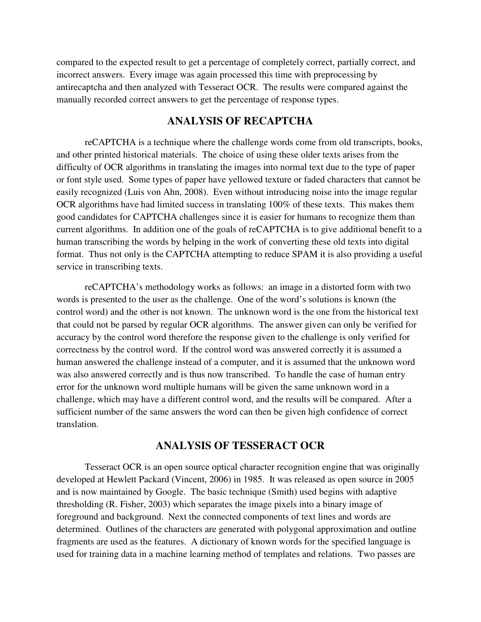compared to the expected result to get a percentage of completely correct, partially correct, and incorrect answers. Every image was again processed this time with preprocessing by antirecaptcha and then analyzed with Tesseract OCR. The results were compared against the manually recorded correct answers to get the percentage of response types.

### **ANALYSIS OF RECAPTCHA**

 reCAPTCHA is a technique where the challenge words come from old transcripts, books, and other printed historical materials. The choice of using these older texts arises from the difficulty of OCR algorithms in translating the images into normal text due to the type of paper or font style used. Some types of paper have yellowed texture or faded characters that cannot be easily recognized (Luis von Ahn, 2008). Even without introducing noise into the image regular OCR algorithms have had limited success in translating 100% of these texts. This makes them good candidates for CAPTCHA challenges since it is easier for humans to recognize them than current algorithms. In addition one of the goals of reCAPTCHA is to give additional benefit to a human transcribing the words by helping in the work of converting these old texts into digital format. Thus not only is the CAPTCHA attempting to reduce SPAM it is also providing a useful service in transcribing texts.

 reCAPTCHA's methodology works as follows: an image in a distorted form with two words is presented to the user as the challenge. One of the word's solutions is known (the control word) and the other is not known. The unknown word is the one from the historical text that could not be parsed by regular OCR algorithms. The answer given can only be verified for accuracy by the control word therefore the response given to the challenge is only verified for correctness by the control word. If the control word was answered correctly it is assumed a human answered the challenge instead of a computer, and it is assumed that the unknown word was also answered correctly and is thus now transcribed. To handle the case of human entry error for the unknown word multiple humans will be given the same unknown word in a challenge, which may have a different control word, and the results will be compared. After a sufficient number of the same answers the word can then be given high confidence of correct translation.

## **ANALYSIS OF TESSERACT OCR**

 Tesseract OCR is an open source optical character recognition engine that was originally developed at Hewlett Packard (Vincent, 2006) in 1985. It was released as open source in 2005 and is now maintained by Google. The basic technique (Smith) used begins with adaptive thresholding (R. Fisher, 2003) which separates the image pixels into a binary image of foreground and background. Next the connected components of text lines and words are determined. Outlines of the characters are generated with polygonal approximation and outline fragments are used as the features. A dictionary of known words for the specified language is used for training data in a machine learning method of templates and relations. Two passes are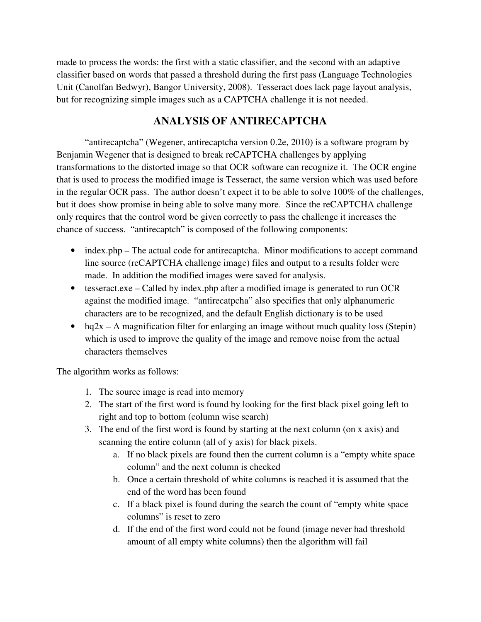made to process the words: the first with a static classifier, and the second with an adaptive classifier based on words that passed a threshold during the first pass (Language Technologies Unit (Canolfan Bedwyr), Bangor University, 2008). Tesseract does lack page layout analysis, but for recognizing simple images such as a CAPTCHA challenge it is not needed.

## **ANALYSIS OF ANTIRECAPTCHA**

 "antirecaptcha" (Wegener, antirecaptcha version 0.2e, 2010) is a software program by Benjamin Wegener that is designed to break reCAPTCHA challenges by applying transformations to the distorted image so that OCR software can recognize it. The OCR engine that is used to process the modified image is Tesseract, the same version which was used before in the regular OCR pass. The author doesn't expect it to be able to solve 100% of the challenges, but it does show promise in being able to solve many more. Since the reCAPTCHA challenge only requires that the control word be given correctly to pass the challenge it increases the chance of success. "antirecaptch" is composed of the following components:

- index.php The actual code for antirecaptcha. Minor modifications to accept command line source (reCAPTCHA challenge image) files and output to a results folder were made. In addition the modified images were saved for analysis.
- tesseract.exe Called by index.php after a modified image is generated to run OCR against the modified image. "antirecatpcha" also specifies that only alphanumeric characters are to be recognized, and the default English dictionary is to be used
- hq2x A magnification filter for enlarging an image without much quality loss (Stepin) which is used to improve the quality of the image and remove noise from the actual characters themselves

The algorithm works as follows:

- 1. The source image is read into memory
- 2. The start of the first word is found by looking for the first black pixel going left to right and top to bottom (column wise search)
- 3. The end of the first word is found by starting at the next column (on x axis) and scanning the entire column (all of y axis) for black pixels.
	- a. If no black pixels are found then the current column is a "empty white space column" and the next column is checked
	- b. Once a certain threshold of white columns is reached it is assumed that the end of the word has been found
	- c. If a black pixel is found during the search the count of "empty white space columns" is reset to zero
	- d. If the end of the first word could not be found (image never had threshold amount of all empty white columns) then the algorithm will fail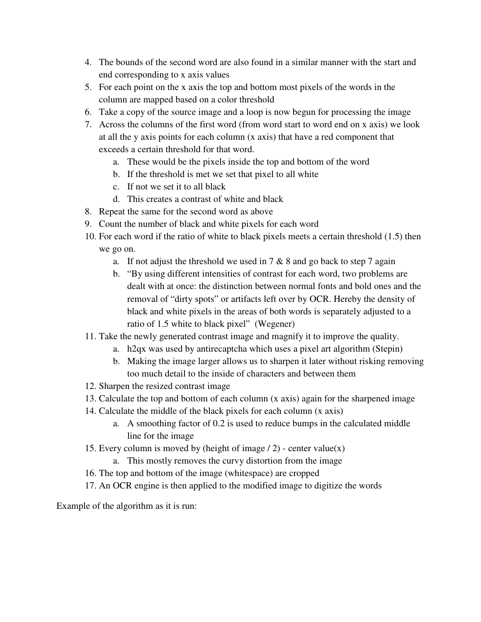- 4. The bounds of the second word are also found in a similar manner with the start and end corresponding to x axis values
- 5. For each point on the x axis the top and bottom most pixels of the words in the column are mapped based on a color threshold
- 6. Take a copy of the source image and a loop is now begun for processing the image
- 7. Across the columns of the first word (from word start to word end on x axis) we look at all the y axis points for each column (x axis) that have a red component that exceeds a certain threshold for that word.
	- a. These would be the pixels inside the top and bottom of the word
	- b. If the threshold is met we set that pixel to all white
	- c. If not we set it to all black
	- d. This creates a contrast of white and black
- 8. Repeat the same for the second word as above
- 9. Count the number of black and white pixels for each word
- 10. For each word if the ratio of white to black pixels meets a certain threshold (1.5) then we go on.
	- a. If not adjust the threshold we used in  $7 & 8$  and go back to step  $7$  again
	- b. "By using different intensities of contrast for each word, two problems are dealt with at once: the distinction between normal fonts and bold ones and the removal of "dirty spots" or artifacts left over by OCR. Hereby the density of black and white pixels in the areas of both words is separately adjusted to a ratio of 1.5 white to black pixel" (Wegener)
- 11. Take the newly generated contrast image and magnify it to improve the quality.
	- a. h2qx was used by antirecaptcha which uses a pixel art algorithm (Stepin)
	- b. Making the image larger allows us to sharpen it later without risking removing too much detail to the inside of characters and between them
- 12. Sharpen the resized contrast image
- 13. Calculate the top and bottom of each column (x axis) again for the sharpened image
- 14. Calculate the middle of the black pixels for each column (x axis)
	- a. A smoothing factor of 0.2 is used to reduce bumps in the calculated middle line for the image
- 15. Every column is moved by (height of image  $/ 2$ ) center value(x)
	- a. This mostly removes the curvy distortion from the image
- 16. The top and bottom of the image (whitespace) are cropped
- 17. An OCR engine is then applied to the modified image to digitize the words

Example of the algorithm as it is run: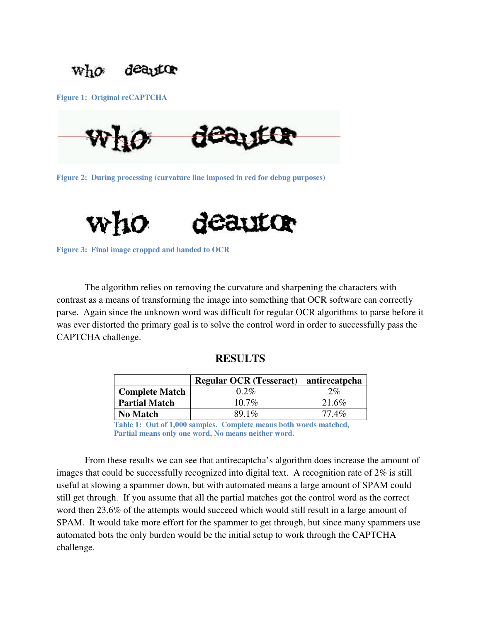

**Figure 1: Original reCAPTCHA** 



**Figure 2: During processing (curvature line imposed in red for debug purposes)** 



**Figure 3: Final image cropped and handed to OCR** 

 The algorithm relies on removing the curvature and sharpening the characters with contrast as a means of transforming the image into something that OCR software can correctly parse. Again since the unknown word was difficult for regular OCR algorithms to parse before it was ever distorted the primary goal is to solve the control word in order to successfully pass the CAPTCHA challenge.

#### **RESULTS**

|                       | Regular OCR (Tesseract)   antirecatpcha |       |
|-----------------------|-----------------------------------------|-------|
| <b>Complete Match</b> | $0.2\%$                                 | $2\%$ |
| <b>Partial Match</b>  | $10.7\%$                                | 21.6% |
| <b>No Match</b>       | 89.1%                                   | 77.4% |

**Table 1: Out of 1,000 samples. Complete means both words matched, Partial means only one word, No means neither word.**

 From these results we can see that antirecaptcha's algorithm does increase the amount of images that could be successfully recognized into digital text. A recognition rate of 2% is still useful at slowing a spammer down, but with automated means a large amount of SPAM could still get through. If you assume that all the partial matches got the control word as the correct word then 23.6% of the attempts would succeed which would still result in a large amount of SPAM. It would take more effort for the spammer to get through, but since many spammers use automated bots the only burden would be the initial setup to work through the CAPTCHA challenge.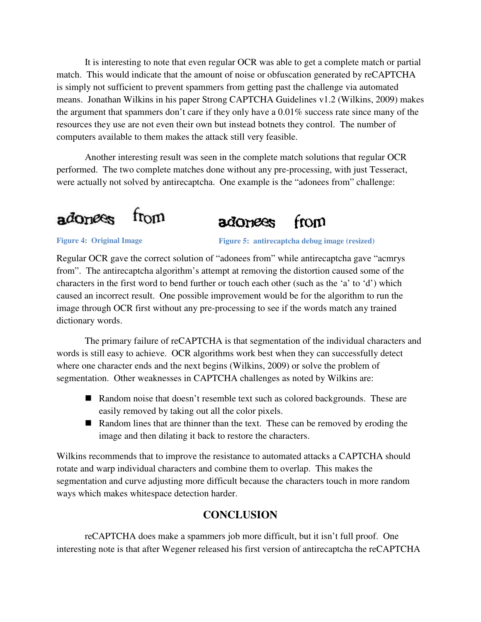It is interesting to note that even regular OCR was able to get a complete match or partial match. This would indicate that the amount of noise or obfuscation generated by reCAPTCHA is simply not sufficient to prevent spammers from getting past the challenge via automated means. Jonathan Wilkins in his paper Strong CAPTCHA Guidelines v1.2 (Wilkins, 2009) makes the argument that spammers don't care if they only have a 0.01% success rate since many of the resources they use are not even their own but instead botnets they control. The number of computers available to them makes the attack still very feasible.

 Another interesting result was seen in the complete match solutions that regular OCR performed. The two complete matches done without any pre-processing, with just Tesseract, were actually not solved by antirecaptcha. One example is the "adonees from" challenge:





#### **Figure 4: Original Image**

**Figure 5: antirecaptcha debug image (resized)**

Regular OCR gave the correct solution of "adonees from" while antirecaptcha gave "acmrys from". The antirecaptcha algorithm's attempt at removing the distortion caused some of the characters in the first word to bend further or touch each other (such as the 'a' to 'd') which caused an incorrect result. One possible improvement would be for the algorithm to run the image through OCR first without any pre-processing to see if the words match any trained dictionary words.

 The primary failure of reCAPTCHA is that segmentation of the individual characters and words is still easy to achieve. OCR algorithms work best when they can successfully detect where one character ends and the next begins (Wilkins, 2009) or solve the problem of segmentation. Other weaknesses in CAPTCHA challenges as noted by Wilkins are:

- Random noise that doesn't resemble text such as colored backgrounds. These are easily removed by taking out all the color pixels.
- Random lines that are thinner than the text. These can be removed by eroding the image and then dilating it back to restore the characters.

Wilkins recommends that to improve the resistance to automated attacks a CAPTCHA should rotate and warp individual characters and combine them to overlap. This makes the segmentation and curve adjusting more difficult because the characters touch in more random ways which makes whitespace detection harder.

## **CONCLUSION**

 reCAPTCHA does make a spammers job more difficult, but it isn't full proof. One interesting note is that after Wegener released his first version of antirecaptcha the reCAPTCHA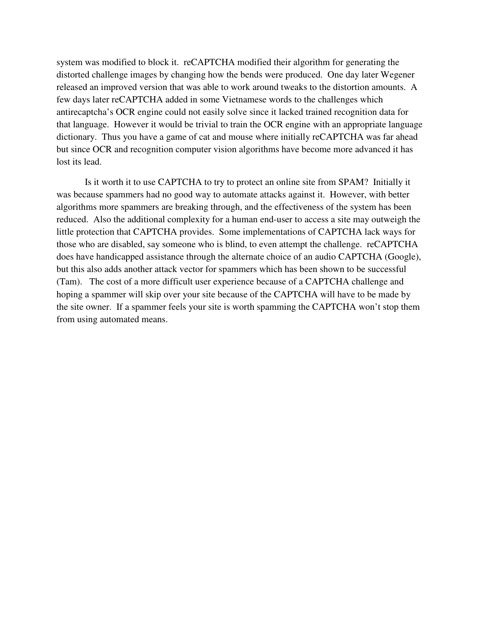system was modified to block it. reCAPTCHA modified their algorithm for generating the distorted challenge images by changing how the bends were produced. One day later Wegener released an improved version that was able to work around tweaks to the distortion amounts. A few days later reCAPTCHA added in some Vietnamese words to the challenges which antirecaptcha's OCR engine could not easily solve since it lacked trained recognition data for that language. However it would be trivial to train the OCR engine with an appropriate language dictionary. Thus you have a game of cat and mouse where initially reCAPTCHA was far ahead but since OCR and recognition computer vision algorithms have become more advanced it has lost its lead.

 Is it worth it to use CAPTCHA to try to protect an online site from SPAM? Initially it was because spammers had no good way to automate attacks against it. However, with better algorithms more spammers are breaking through, and the effectiveness of the system has been reduced. Also the additional complexity for a human end-user to access a site may outweigh the little protection that CAPTCHA provides. Some implementations of CAPTCHA lack ways for those who are disabled, say someone who is blind, to even attempt the challenge. reCAPTCHA does have handicapped assistance through the alternate choice of an audio CAPTCHA (Google), but this also adds another attack vector for spammers which has been shown to be successful (Tam). The cost of a more difficult user experience because of a CAPTCHA challenge and hoping a spammer will skip over your site because of the CAPTCHA will have to be made by the site owner. If a spammer feels your site is worth spamming the CAPTCHA won't stop them from using automated means.